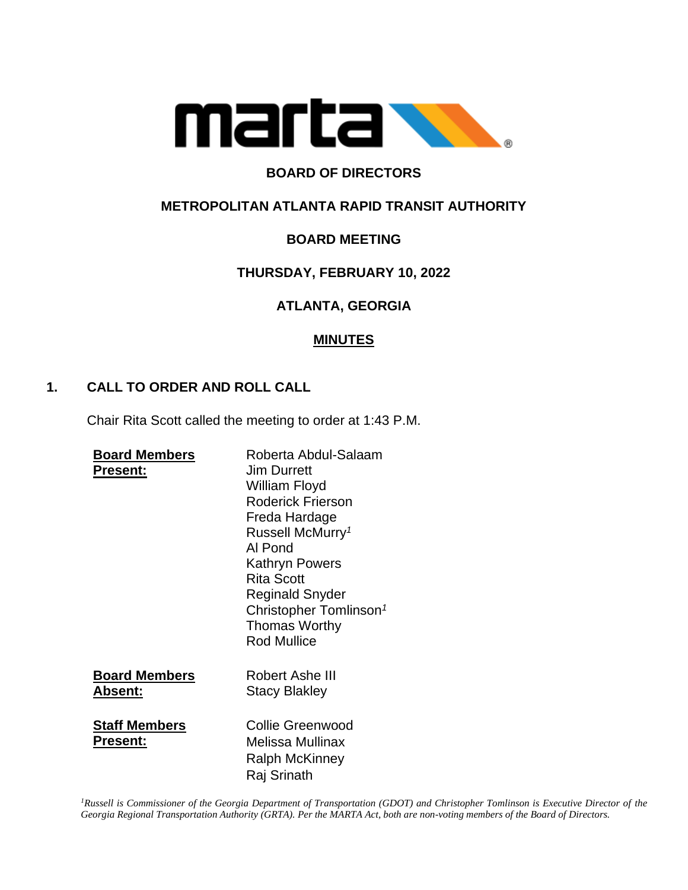

# **BOARD OF DIRECTORS**

# **METROPOLITAN ATLANTA RAPID TRANSIT AUTHORITY**

# **BOARD MEETING**

# **THURSDAY, FEBRUARY 10, 2022**

# **ATLANTA, GEORGIA**

# **MINUTES**

# **1. CALL TO ORDER AND ROLL CALL**

Chair Rita Scott called the meeting to order at 1:43 P.M.

| <b>Board Members</b> | Roberta Abdul-Salaam               |
|----------------------|------------------------------------|
| <b>Present:</b>      | <b>Jim Durrett</b>                 |
|                      | William Floyd                      |
|                      | <b>Roderick Frierson</b>           |
|                      | Freda Hardage                      |
|                      | Russell McMurry <sup>1</sup>       |
|                      | Al Pond                            |
|                      | Kathryn Powers                     |
|                      | <b>Rita Scott</b>                  |
|                      | Reginald Snyder                    |
|                      | Christopher Tomlinson <sup>1</sup> |
|                      | <b>Thomas Worthy</b>               |
|                      | <b>Rod Mullice</b>                 |
|                      |                                    |
| <b>Board Members</b> | Robert Ashe III                    |
| Absent:              | <b>Stacy Blakley</b>               |
| <b>Staff Members</b> | Collie Greenwood                   |
| <b>Present:</b>      | Melissa Mullinax                   |
|                      | Ralph McKinney                     |
|                      |                                    |
|                      | Raj Srinath                        |

*<sup>1</sup>Russell is Commissioner of the Georgia Department of Transportation (GDOT) and Christopher Tomlinson is Executive Director of the Georgia Regional Transportation Authority (GRTA). Per the MARTA Act, both are non-voting members of the Board of Directors.*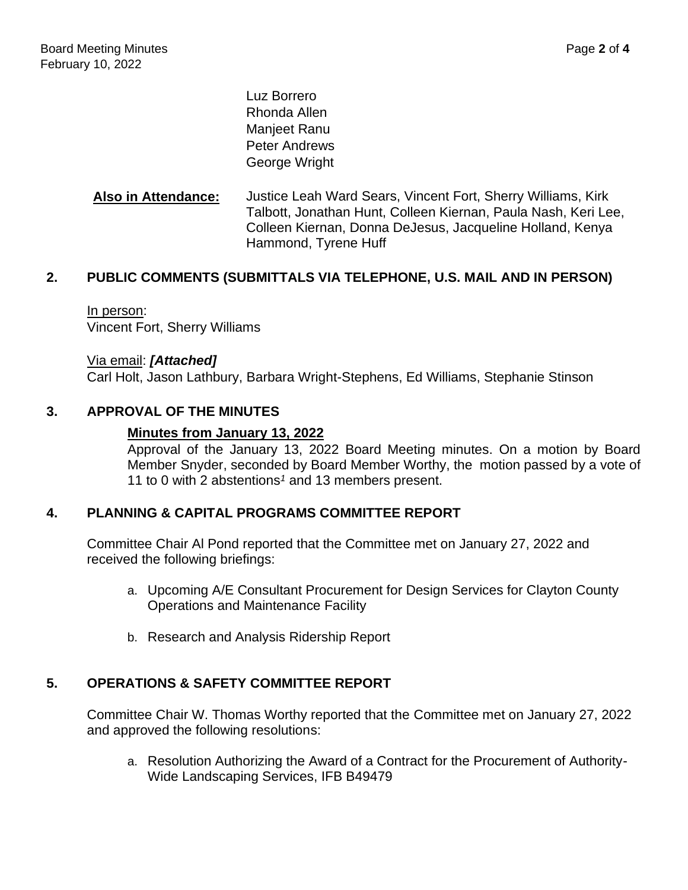Luz Borrero Rhonda Allen Manjeet Ranu Peter Andrews George Wright

**Also in Attendance:** Justice Leah Ward Sears, Vincent Fort, Sherry Williams, Kirk Talbott, Jonathan Hunt, Colleen Kiernan, Paula Nash, Keri Lee, Colleen Kiernan, Donna DeJesus, Jacqueline Holland, Kenya Hammond, Tyrene Huff

# **2. PUBLIC COMMENTS (SUBMITTALS VIA TELEPHONE, U.S. MAIL AND IN PERSON)**

In person: Vincent Fort, Sherry Williams

Via email: *[Attached]* Carl Holt, Jason Lathbury, Barbara Wright-Stephens, Ed Williams, Stephanie Stinson

#### **3. APPROVAL OF THE MINUTES**

#### **Minutes from January 13, 2022**

Approval of the January 13, 2022 Board Meeting minutes. On a motion by Board Member Snyder, seconded by Board Member Worthy, the motion passed by a vote of 11 to 0 with 2 abstentions*<sup>1</sup>* and 13 members present.

### **4. PLANNING & CAPITAL PROGRAMS COMMITTEE REPORT**

Committee Chair Al Pond reported that the Committee met on January 27, 2022 and received the following briefings:

- a. Upcoming A/E Consultant Procurement for Design Services for Clayton County Operations and Maintenance Facility
- b. Research and Analysis Ridership Report

# **5. OPERATIONS & SAFETY COMMITTEE REPORT**

Committee Chair W. Thomas Worthy reported that the Committee met on January 27, 2022 and approved the following resolutions:

a. Resolution Authorizing the Award of a Contract for the Procurement of Authority-Wide Landscaping Services, IFB B49479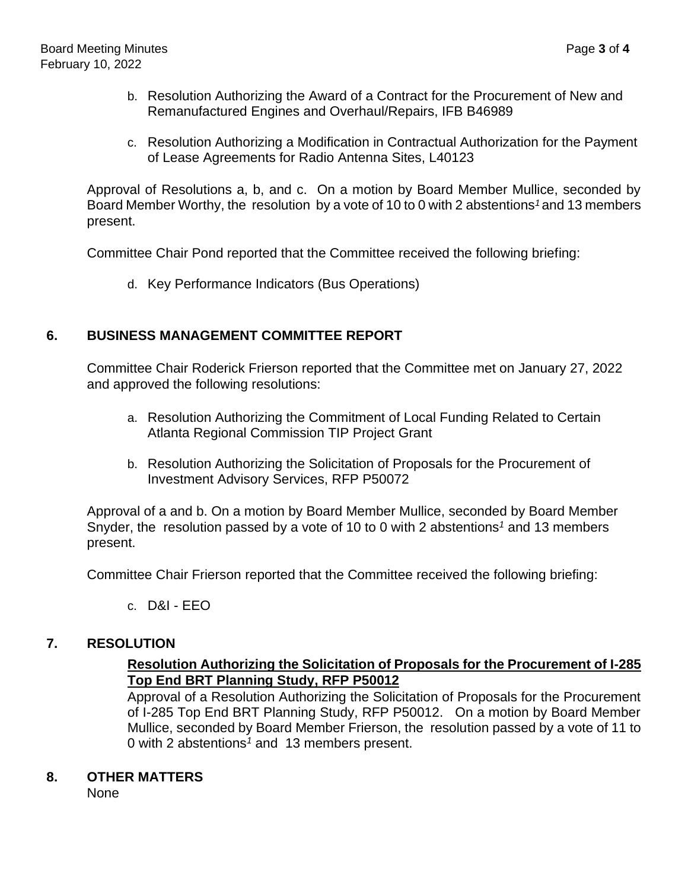- b. Resolution Authorizing the Award of a Contract for the Procurement of New and Remanufactured Engines and Overhaul/Repairs, IFB B46989
- c. Resolution Authorizing a Modification in Contractual Authorization for the Payment of Lease Agreements for Radio Antenna Sites, L40123

Approval of Resolutions a, b, and c. On a motion by Board Member Mullice, seconded by Board Member Worthy, the resolution by a vote of 10 to 0 with 2 abstentions*<sup>1</sup>* and 13 members present.

Committee Chair Pond reported that the Committee received the following briefing:

d. Key Performance Indicators (Bus Operations)

# **6. BUSINESS MANAGEMENT COMMITTEE REPORT**

Committee Chair Roderick Frierson reported that the Committee met on January 27, 2022 and approved the following resolutions:

- a. Resolution Authorizing the Commitment of Local Funding Related to Certain Atlanta Regional Commission TIP Project Grant
- b. Resolution Authorizing the Solicitation of Proposals for the Procurement of Investment Advisory Services, RFP P50072

Approval of a and b. On a motion by Board Member Mullice, seconded by Board Member Snyder, the resolution passed by a vote of 10 to 0 with 2 abstentions*<sup>1</sup>* and 13 members present.

Committee Chair Frierson reported that the Committee received the following briefing:

c. D&I - EEO

### **7. RESOLUTION**

# **Resolution Authorizing the Solicitation of Proposals for the Procurement of I-285 Top End BRT Planning Study, RFP P50012**

Approval of a Resolution Authorizing the Solicitation of Proposals for the Procurement of I-285 Top End BRT Planning Study, RFP P50012. On a motion by Board Member Mullice, seconded by Board Member Frierson, the resolution passed by a vote of 11 to 0 with 2 abstentions*<sup>1</sup>* and 13 members present.

### **8. OTHER MATTERS**

None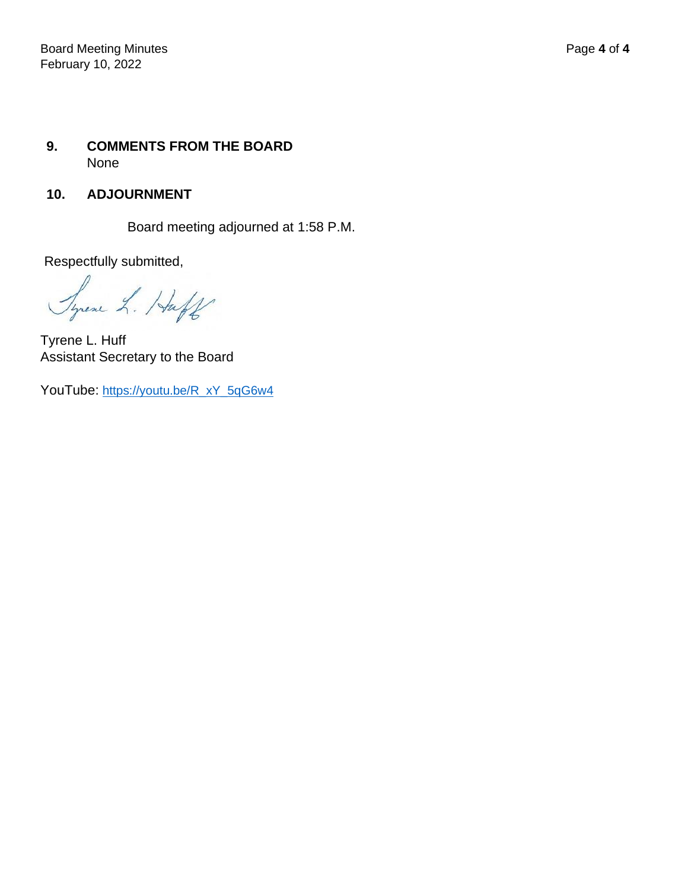# **9. COMMENTS FROM THE BOARD** None

# **10. ADJOURNMENT**

Board meeting adjourned at 1:58 P.M.

Respectfully submitted,

Syrene L. Huff

Tyrene L. Huff Assistant Secretary to the Board

YouTube: [https://youtu.be/R\\_xY\\_5qG6w4](https://youtu.be/R_xY_5qG6w4)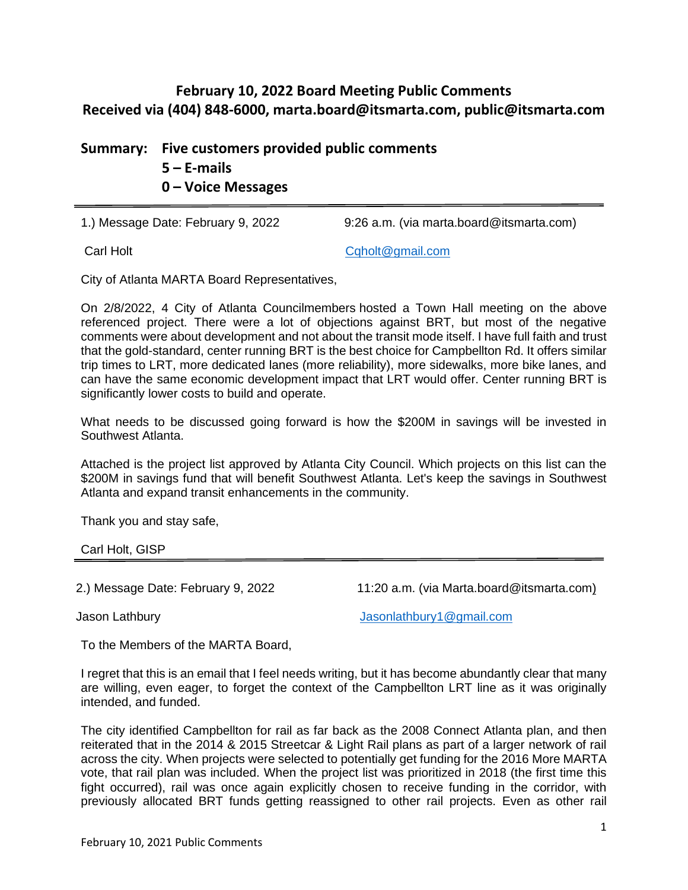# **February 10, 2022 Board Meeting Public Comments Received via (404) 848-6000, [marta.board@itsmarta.com,](mailto:marta.board@itsmarta.com) [public@itsmarta.com](mailto:public@itsmarta.com)**

**Summary: Five customers provided public comments 5 – E-mails**

**0 – Voice Messages**

1.) Message Date: February 9, 2022 9:26 a.m. (via marta.board@itsmarta.com)

Carl Holt [Cqholt@gmail.com](mailto:Cqholt@gmail.com)

City of Atlanta MARTA Board Representatives,

On 2/8/2022, 4 City of Atlanta Councilmembers hosted a Town Hall meeting on the above referenced project. There were a lot of objections against BRT, but most of the negative comments were about development and not about the transit mode itself. I have full faith and trust that the gold-standard, center running BRT is the best choice for Campbellton Rd. It offers similar trip times to LRT, more dedicated lanes (more reliability), more sidewalks, more bike lanes, and can have the same economic development impact that LRT would offer. Center running BRT is significantly lower costs to build and operate.

What needs to be discussed going forward is how the \$200M in savings will be invested in Southwest Atlanta.

Attached is the project list approved by Atlanta City Council. Which projects on this list can the \$200M in savings fund that will benefit Southwest Atlanta. Let's keep the savings in Southwest Atlanta and expand transit enhancements in the community.

Thank you and stay safe,

Carl Holt, GISP

2.) Message Date: February 9, 2022 11:20 a.m. (via Marta.board@itsmarta.com)

Jason Lathbury [Jasonlathbury1@gmail.com](mailto:Jasonlathbury1@gmail.com)

To the Members of the MARTA Board,

I regret that this is an email that I feel needs writing, but it has become abundantly clear that many are willing, even eager, to forget the context of the Campbellton LRT line as it was originally intended, and funded.

The city identified Campbellton for rail as far back as the 2008 Connect Atlanta plan, and then reiterated that in the 2014 & 2015 Streetcar & Light Rail plans as part of a larger network of rail across the city. When projects were selected to potentially get funding for the 2016 More MARTA vote, that rail plan was included. When the project list was prioritized in 2018 (the first time this fight occurred), rail was once again explicitly chosen to receive funding in the corridor, with previously allocated BRT funds getting reassigned to other rail projects. Even as other rail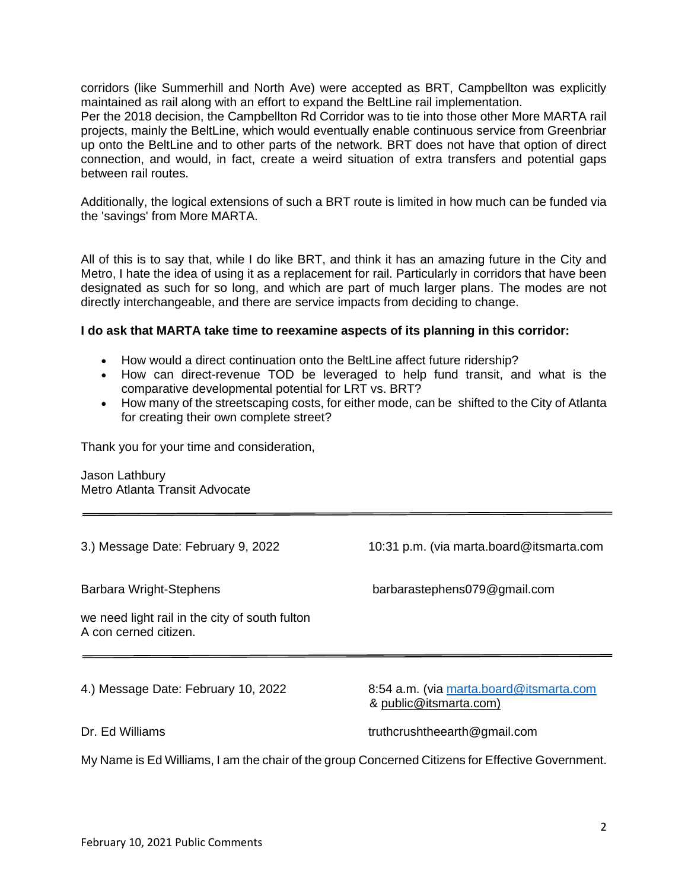corridors (like Summerhill and North Ave) were accepted as BRT, Campbellton was explicitly maintained as rail along with an effort to expand the BeltLine rail implementation.

Per the 2018 decision, the Campbellton Rd Corridor was to tie into those other More MARTA rail projects, mainly the BeltLine, which would eventually enable continuous service from Greenbriar up onto the BeltLine and to other parts of the network. BRT does not have that option of direct connection, and would, in fact, create a weird situation of extra transfers and potential gaps between rail routes.

Additionally, the logical extensions of such a BRT route is limited in how much can be funded via the 'savings' from More MARTA.

All of this is to say that, while I do like BRT, and think it has an amazing future in the City and Metro, I hate the idea of using it as a replacement for rail. Particularly in corridors that have been designated as such for so long, and which are part of much larger plans. The modes are not directly interchangeable, and there are service impacts from deciding to change.

#### **I do ask that MARTA take time to reexamine aspects of its planning in this corridor:**

- How would a direct continuation onto the BeltLine affect future ridership?
- How can direct-revenue TOD be leveraged to help fund transit, and what is the comparative developmental potential for LRT vs. BRT?
- How many of the streetscaping costs, for either mode, can be shifted to the City of Atlanta for creating their own complete street?

Thank you for your time and consideration,

Jason Lathbury Metro Atlanta Transit Advocate

3.) Message Date: February 9, 2022 10:31 p.m. (via marta.board@itsmarta.com Barbara Wright-Stephens barbarastephens079@gmail.com we need light rail in the city of south fulton A con cerned citizen. 4.) Message Date: February 10, 2022 8:54 a.m. (via [marta.board@itsmarta.com](mailto:marta.board@itsmarta.com) & [public@itsmarta.com\)](mailto:public@itsmarta.com) Dr. Ed Williams truthcrushtheearth@gmail.com My Name is Ed Williams, I am the chair of the group Concerned Citizens for Effective Government.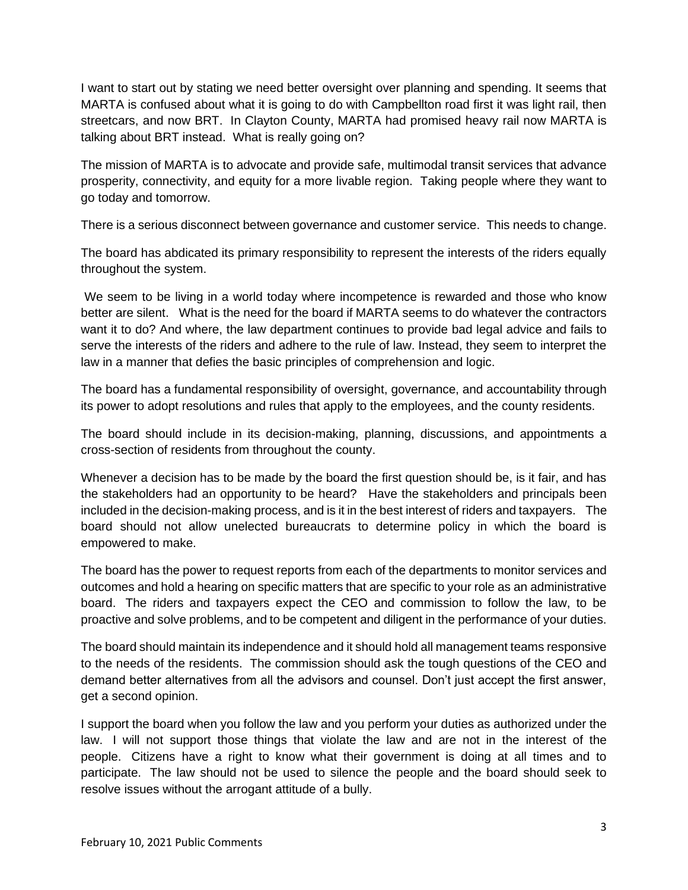I want to start out by stating we need better oversight over planning and spending. It seems that MARTA is confused about what it is going to do with Campbellton road first it was light rail, then streetcars, and now BRT. In Clayton County, MARTA had promised heavy rail now MARTA is talking about BRT instead. What is really going on?

The mission of MARTA is to advocate and provide safe, multimodal transit services that advance prosperity, connectivity, and equity for a more livable region. Taking people where they want to go today and tomorrow.

There is a serious disconnect between governance and customer service. This needs to change.

The board has abdicated its primary responsibility to represent the interests of the riders equally throughout the system.

We seem to be living in a world today where incompetence is rewarded and those who know better are silent. What is the need for the board if MARTA seems to do whatever the contractors want it to do? And where, the law department continues to provide bad legal advice and fails to serve the interests of the riders and adhere to the rule of law. Instead, they seem to interpret the law in a manner that defies the basic principles of comprehension and logic.

The board has a fundamental responsibility of oversight, governance, and accountability through its power to adopt resolutions and rules that apply to the employees, and the county residents.

The board should include in its decision-making, planning, discussions, and appointments a cross-section of residents from throughout the county.

Whenever a decision has to be made by the board the first question should be, is it fair, and has the stakeholders had an opportunity to be heard? Have the stakeholders and principals been included in the decision-making process, and is it in the best interest of riders and taxpayers. The board should not allow unelected bureaucrats to determine policy in which the board is empowered to make.

The board has the power to request reports from each of the departments to monitor services and outcomes and hold a hearing on specific matters that are specific to your role as an administrative board. The riders and taxpayers expect the CEO and commission to follow the law, to be proactive and solve problems, and to be competent and diligent in the performance of your duties.

The board should maintain its independence and it should hold all management teams responsive to the needs of the residents. The commission should ask the tough questions of the CEO and demand better alternatives from all the advisors and counsel. Don't just accept the first answer, get a second opinion.

I support the board when you follow the law and you perform your duties as authorized under the law. I will not support those things that violate the law and are not in the interest of the people. Citizens have a right to know what their government is doing at all times and to participate. The law should not be used to silence the people and the board should seek to resolve issues without the arrogant attitude of a bully.